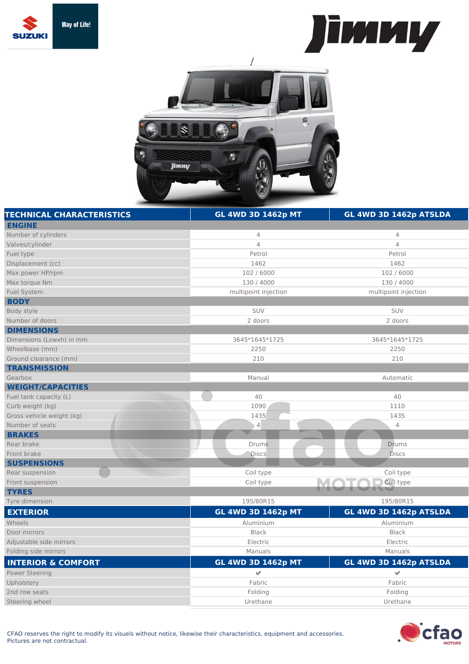





| <b>TECHNICAL CHARACTERISTICS</b> | <b>GL 4WD 3D 1462p MT</b> | GL 4WD 3D 1462p ATSLDA |
|----------------------------------|---------------------------|------------------------|
| <b>ENGINE</b>                    |                           |                        |
| Number of cylinders              | $\overline{4}$            | $\overline{4}$         |
| Valves/cylinder                  | $\overline{4}$            | $\overline{4}$         |
| Fuel type                        | Petrol                    | Petrol                 |
| Displacement (cc)                | 1462                      | 1462                   |
| Max power HP/rpm                 | 102 / 6000                | 102 / 6000             |
| Max torque Nm                    | 130 / 4000                | 130 / 4000             |
| <b>Fuel System</b>               | multipoint injection      | multipoint injection   |
| <b>BODY</b>                      |                           |                        |
| Body style                       | SUV                       | <b>SUV</b>             |
| Number of doors                  | 2 doors                   | 2 doors                |
| <b>DIMENSIONS</b>                |                           |                        |
| Dimensions (Lxwxh) in mm         | 3645*1645*1725            | 3645*1645*1725         |
| Wheelbase (mm)                   | 2250                      | 2250                   |
| Ground clearance (mm)            | 210                       | 210                    |
| <b>TRANSMISSION</b>              |                           |                        |
| Gearbox                          | Manual                    | Automatic              |
| <b>WEIGHT/CAPACITIES</b>         |                           |                        |
| Fuel tank capacity (L)           | 40                        | 40                     |
| Curb weight (kg)                 | 1090                      | 1110                   |
| Gross vehicle weight (kg)        | 1435                      | 1435                   |
| Number of seats                  | $\vert 4 \vert$           | $\overline{4}$         |
| <b>BRAKES</b>                    |                           |                        |
| Rear brake                       | <b>Drums</b>              | <b>Drums</b>           |
| Front brake                      | <b>Discs</b>              | <b>Discs</b>           |
| <b>SUSPENSIONS</b>               |                           |                        |
| Rear suspension                  | Coil type                 | Coil type              |
| Front suspension                 | Coil type                 | Coil type              |
| <b>TYRES</b>                     |                           |                        |
| Tyre dimension                   | 195/80R15                 | 195/80R15              |
| <b>EXTERIOR</b>                  | <b>GL 4WD 3D 1462p MT</b> | GL 4WD 3D 1462p ATSLDA |
| Wheels                           | Aluminium                 | Aluminium              |
| Door mirrors                     | <b>Black</b>              | <b>Black</b>           |
| Adjustable side mirrors          | Electric                  | Electric               |
| Folding side mirrors             | Manuals                   | Manuals                |
| <b>INTERIOR &amp; COMFORT</b>    | <b>GL 4WD 3D 1462p MT</b> | GL 4WD 3D 1462p ATSLDA |
| <b>Power Steering</b>            | $\checkmark$              | $\checkmark$           |
| Upholstery                       | Fabric                    | Fabric                 |
| 2nd row seats                    | Folding                   | Folding                |
| Steering wheel                   | Urethane                  | Urethane               |
|                                  |                           |                        |